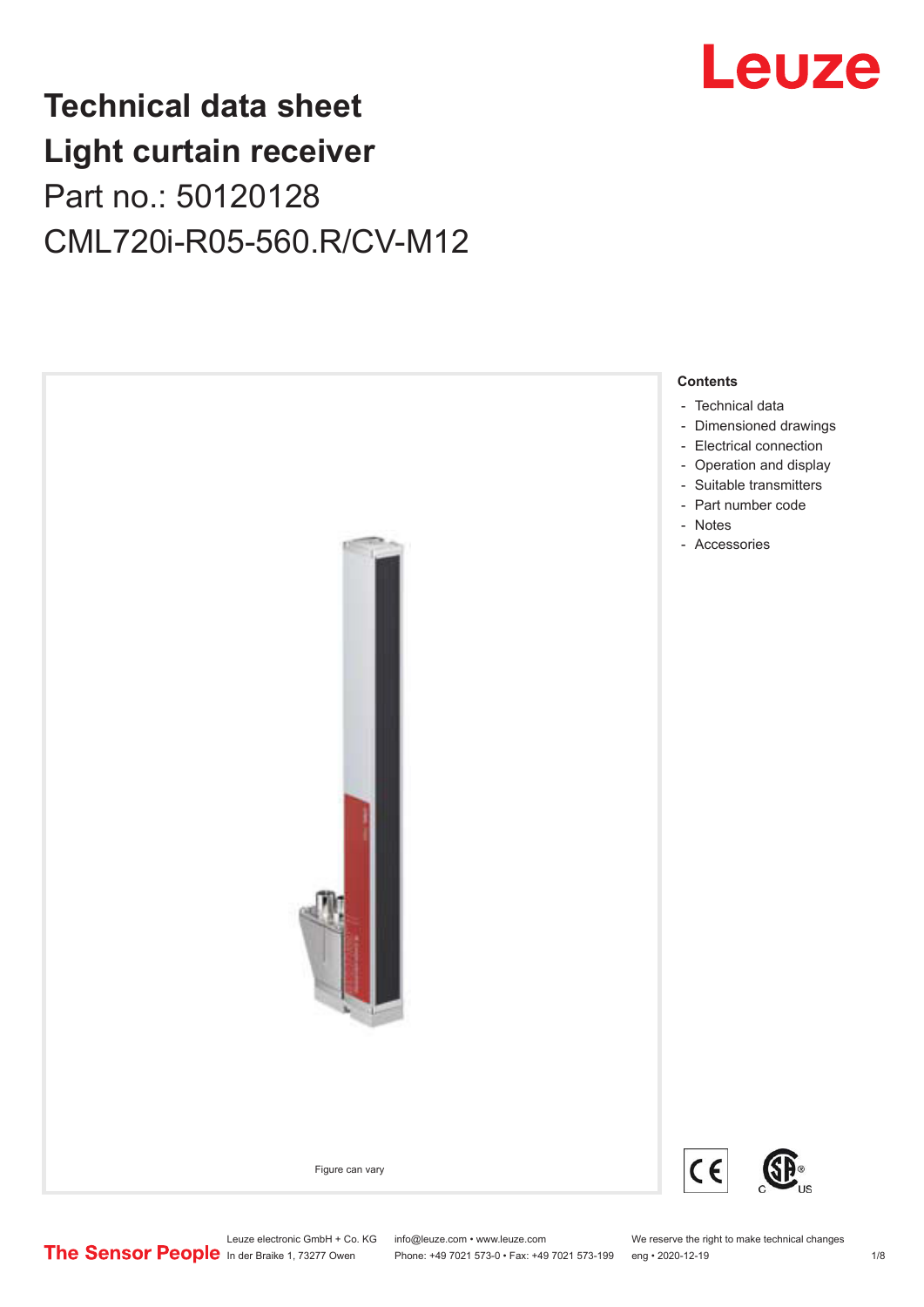

# **Technical data sheet Light curtain receiver** Part no.: 50120128 CML720i-R05-560.R/CV-M12



Leuze electronic GmbH + Co. KG info@leuze.com • www.leuze.com We reserve the right to make technical changes<br>
The Sensor People in der Braike 1, 73277 Owen Phone: +49 7021 573-0 • Fax: +49 7021 573-199 eng • 2020-12-19

Phone: +49 7021 573-0 • Fax: +49 7021 573-199 eng • 2020-12-19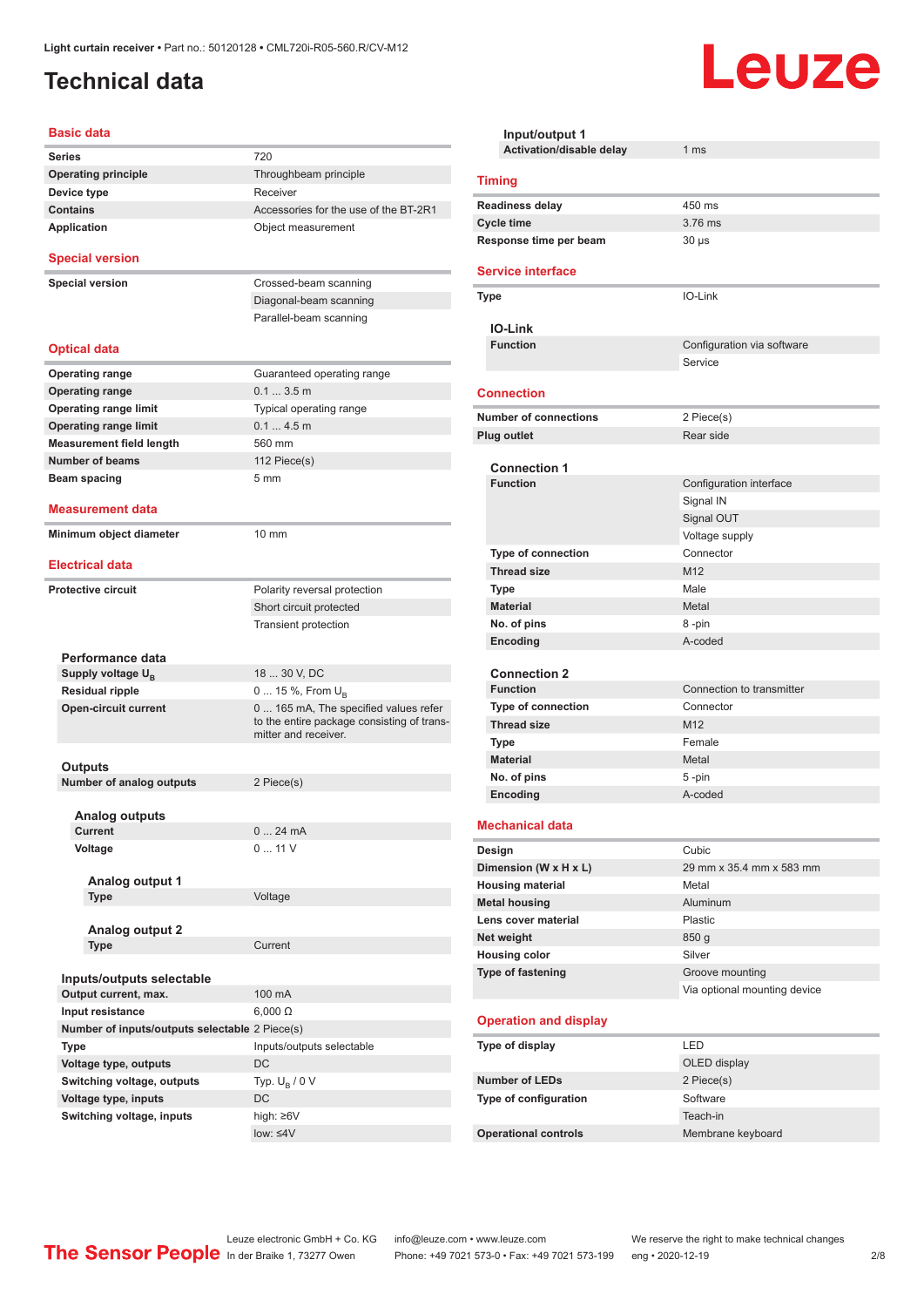### <span id="page-1-0"></span>**Technical data**

#### **Basic data**

| <b>Series</b>                                  | 720                                                                                                        |
|------------------------------------------------|------------------------------------------------------------------------------------------------------------|
| <b>Operating principle</b>                     | Throughbeam principle                                                                                      |
| Device type                                    | Receiver                                                                                                   |
| <b>Contains</b>                                | Accessories for the use of the BT-2R1                                                                      |
| <b>Application</b>                             | Object measurement                                                                                         |
| <b>Special version</b>                         |                                                                                                            |
| <b>Special version</b>                         | Crossed-beam scanning                                                                                      |
|                                                | Diagonal-beam scanning                                                                                     |
|                                                | Parallel-beam scanning                                                                                     |
|                                                |                                                                                                            |
| <b>Optical data</b>                            |                                                                                                            |
| <b>Operating range</b>                         | Guaranteed operating range                                                                                 |
| <b>Operating range</b>                         | $0.13.5$ m                                                                                                 |
| <b>Operating range limit</b>                   | Typical operating range                                                                                    |
| <b>Operating range limit</b>                   | 0.14.5m                                                                                                    |
| <b>Measurement field length</b>                | 560 mm                                                                                                     |
| <b>Number of beams</b>                         | 112 Piece(s)                                                                                               |
| Beam spacing                                   | 5 <sub>mm</sub>                                                                                            |
|                                                |                                                                                                            |
| <b>Measurement data</b>                        |                                                                                                            |
| Minimum object diameter                        | $10 \text{ mm}$                                                                                            |
|                                                |                                                                                                            |
| <b>Electrical data</b>                         |                                                                                                            |
| <b>Protective circuit</b>                      | Polarity reversal protection                                                                               |
|                                                | Short circuit protected                                                                                    |
|                                                | Transient protection                                                                                       |
|                                                |                                                                                                            |
| Performance data                               |                                                                                                            |
| Supply voltage U <sub>B</sub>                  | 18  30 V, DC                                                                                               |
| <b>Residual ripple</b>                         | 0  15 %, From $U_B$                                                                                        |
| <b>Open-circuit current</b>                    | 0 165 mA, The specified values refer<br>to the entire package consisting of trans-<br>mitter and receiver. |
|                                                |                                                                                                            |
| Outputs                                        |                                                                                                            |
| <b>Number of analog outputs</b>                | 2 Piece(s)                                                                                                 |
| Analog outputs                                 |                                                                                                            |
| Current                                        | 024mA                                                                                                      |
| Voltage                                        | 011V                                                                                                       |
|                                                |                                                                                                            |
| Analog output 1                                |                                                                                                            |
| <b>Type</b>                                    | Voltage                                                                                                    |
|                                                |                                                                                                            |
| <b>Analog output 2</b>                         |                                                                                                            |
| Type                                           | Current                                                                                                    |
|                                                |                                                                                                            |
| Inputs/outputs selectable                      |                                                                                                            |
| Output current, max.                           | 100 mA                                                                                                     |
| Input resistance                               | $6,000 \Omega$                                                                                             |
| Number of inputs/outputs selectable 2 Piece(s) |                                                                                                            |
| Type                                           | Inputs/outputs selectable                                                                                  |
| Voltage type, outputs                          | DC                                                                                                         |
| Switching voltage, outputs                     | Typ. $U_B / 0 V$                                                                                           |
| Voltage type, inputs                           | DC                                                                                                         |
| Switching voltage, inputs                      | high: ≥6V                                                                                                  |
|                                                | $low: 4V$                                                                                                  |
|                                                |                                                                                                            |

| Input/output 1<br><b>Activation/disable delay</b> | 1 <sub>ms</sub>              |  |  |  |
|---------------------------------------------------|------------------------------|--|--|--|
| <b>Timing</b>                                     |                              |  |  |  |
|                                                   |                              |  |  |  |
| <b>Readiness delay</b>                            | 450 ms<br>3.76 ms            |  |  |  |
| <b>Cycle time</b><br>Response time per beam       | $30 \mu s$                   |  |  |  |
|                                                   |                              |  |  |  |
| <b>Service interface</b>                          |                              |  |  |  |
| Type                                              | IO-Link                      |  |  |  |
| IO-Link                                           |                              |  |  |  |
| <b>Function</b>                                   | Configuration via software   |  |  |  |
|                                                   | Service                      |  |  |  |
|                                                   |                              |  |  |  |
| <b>Connection</b>                                 |                              |  |  |  |
| <b>Number of connections</b>                      | 2 Piece(s)                   |  |  |  |
| <b>Plug outlet</b>                                | Rear side                    |  |  |  |
| <b>Connection 1</b>                               |                              |  |  |  |
| <b>Function</b>                                   | Configuration interface      |  |  |  |
|                                                   | Signal IN                    |  |  |  |
|                                                   | Signal OUT                   |  |  |  |
|                                                   | Voltage supply               |  |  |  |
| <b>Type of connection</b>                         | Connector                    |  |  |  |
| <b>Thread size</b>                                | M <sub>12</sub>              |  |  |  |
| <b>Type</b>                                       | Male                         |  |  |  |
| <b>Material</b>                                   | Metal                        |  |  |  |
| No. of pins                                       | 8-pin                        |  |  |  |
| Encoding                                          | A-coded                      |  |  |  |
|                                                   |                              |  |  |  |
| <b>Connection 2</b>                               |                              |  |  |  |
| <b>Function</b>                                   | Connection to transmitter    |  |  |  |
| <b>Type of connection</b>                         | Connector<br>M <sub>12</sub> |  |  |  |
| <b>Thread size</b><br><b>Type</b>                 | Female                       |  |  |  |
| <b>Material</b>                                   | Metal                        |  |  |  |
| No. of pins                                       | 5-pin                        |  |  |  |
| Encoding                                          | A-coded                      |  |  |  |
|                                                   |                              |  |  |  |
| <b>Mechanical data</b>                            |                              |  |  |  |
| Design                                            | Cubic                        |  |  |  |
| Dimension (W x H x L)                             | 29 mm x 35.4 mm x 583 mm     |  |  |  |
| <b>Housing material</b>                           | Metal                        |  |  |  |
| <b>Metal housing</b>                              | Aluminum                     |  |  |  |
| Lens cover material                               | <b>Plastic</b>               |  |  |  |
| Net weight                                        | 850 <sub>g</sub>             |  |  |  |
| <b>Housing color</b>                              | Silver                       |  |  |  |
| Type of fastening                                 | Groove mounting              |  |  |  |
|                                                   | Via optional mounting device |  |  |  |
| <b>Operation and display</b>                      |                              |  |  |  |
| Type of display                                   | LED                          |  |  |  |
|                                                   | OLED display                 |  |  |  |
| <b>Number of LEDs</b>                             | 2 Piece(s)                   |  |  |  |
| Type of configuration                             | Software                     |  |  |  |
|                                                   | Teach-in                     |  |  |  |
| <b>Operational controls</b>                       | Membrane keyboard            |  |  |  |

Leuze

Leuze electronic GmbH + Co. KG info@leuze.com • www.leuze.com We reserve the right to make technical changes ln der Braike 1, 73277 Owen Phone: +49 7021 573-0 • Fax: +49 7021 573-199 eng • 2020-12-19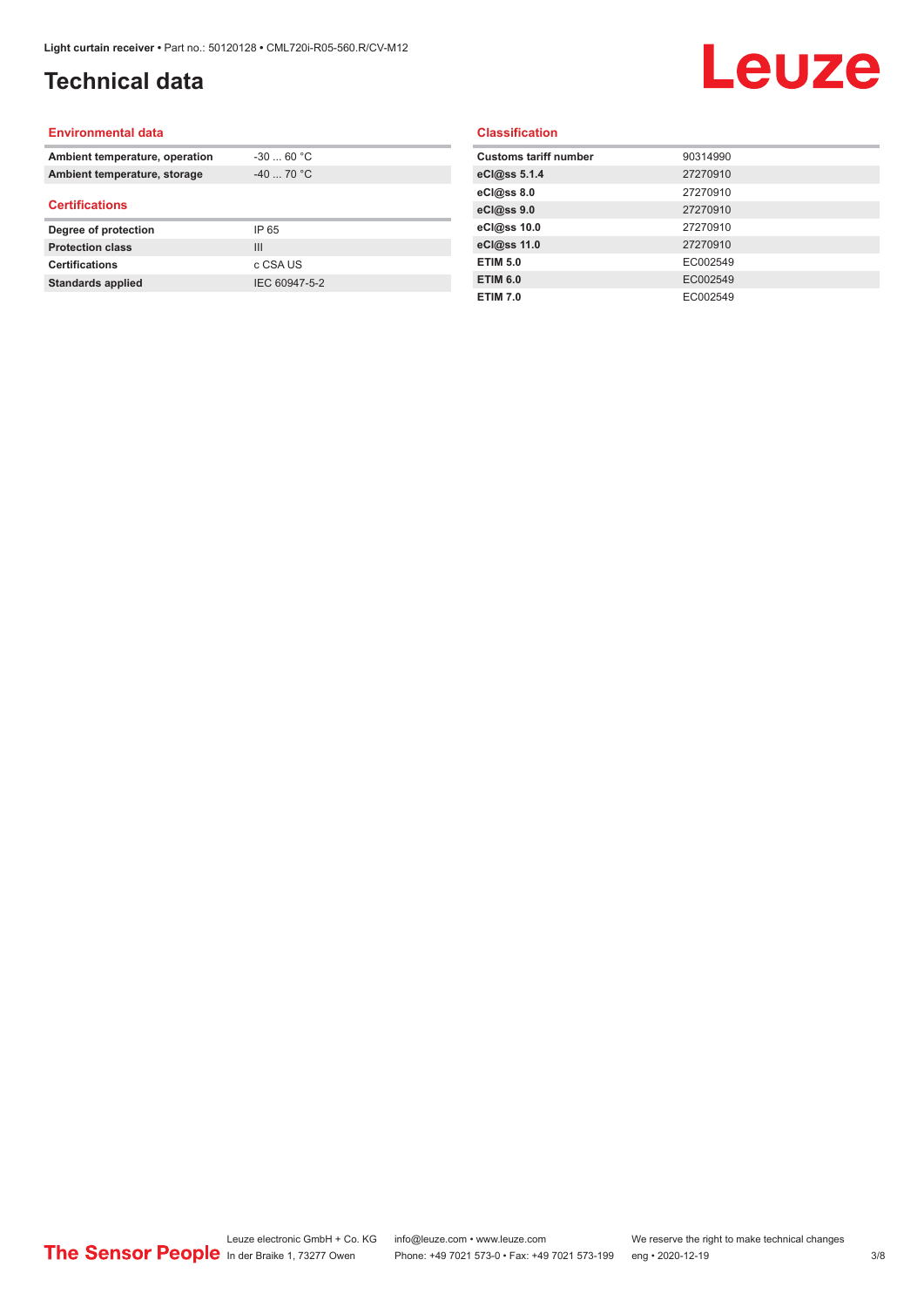# **Technical data**

# Leuze

#### **Environmental data**

| Ambient temperature, operation | $-3060 °C$  |  |
|--------------------------------|-------------|--|
| Ambient temperature, storage   | $-40$ 70 °C |  |
| <b>Certifications</b>          |             |  |
|                                |             |  |
| Degree of protection           | IP 65       |  |
| <b>Protection class</b>        | Ш           |  |
| <b>Certifications</b>          | c CSA US    |  |

#### **Classification**

| <b>Customs tariff number</b> | 90314990 |
|------------------------------|----------|
| eCl@ss 5.1.4                 | 27270910 |
| eCl@ss 8.0                   | 27270910 |
| eCl@ss 9.0                   | 27270910 |
| eCl@ss 10.0                  | 27270910 |
| eCl@ss 11.0                  | 27270910 |
| <b>ETIM 5.0</b>              | EC002549 |
| <b>ETIM 6.0</b>              | EC002549 |
| <b>ETIM 7.0</b>              | EC002549 |
|                              |          |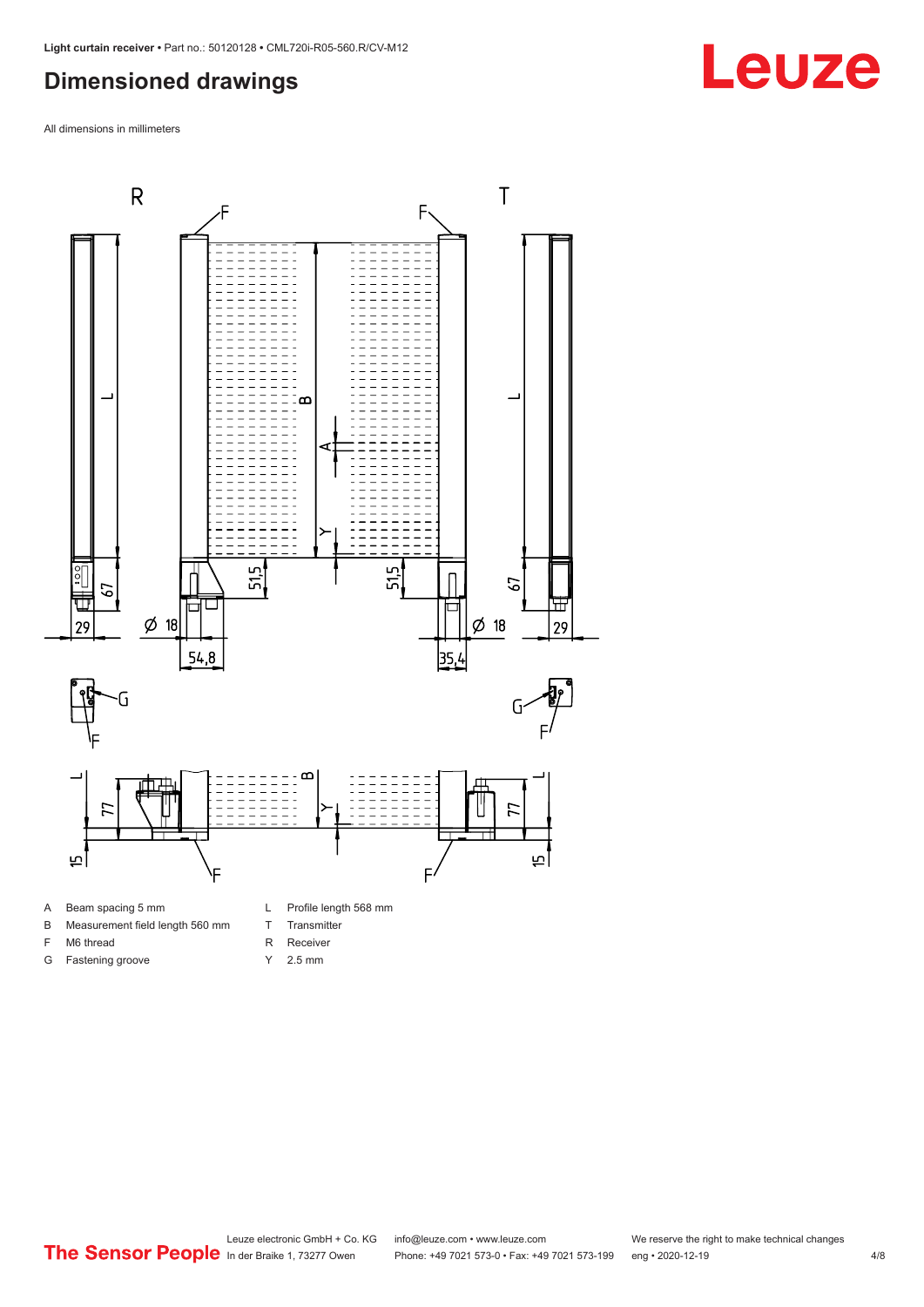### <span id="page-3-0"></span>**Dimensioned drawings**

All dimensions in millimeters



B Measurement field length 560 mm

F M6 thread G Fastening groove

- T Transmitter
- R Receiver
- Y 2.5 mm
- 

# **Leuze**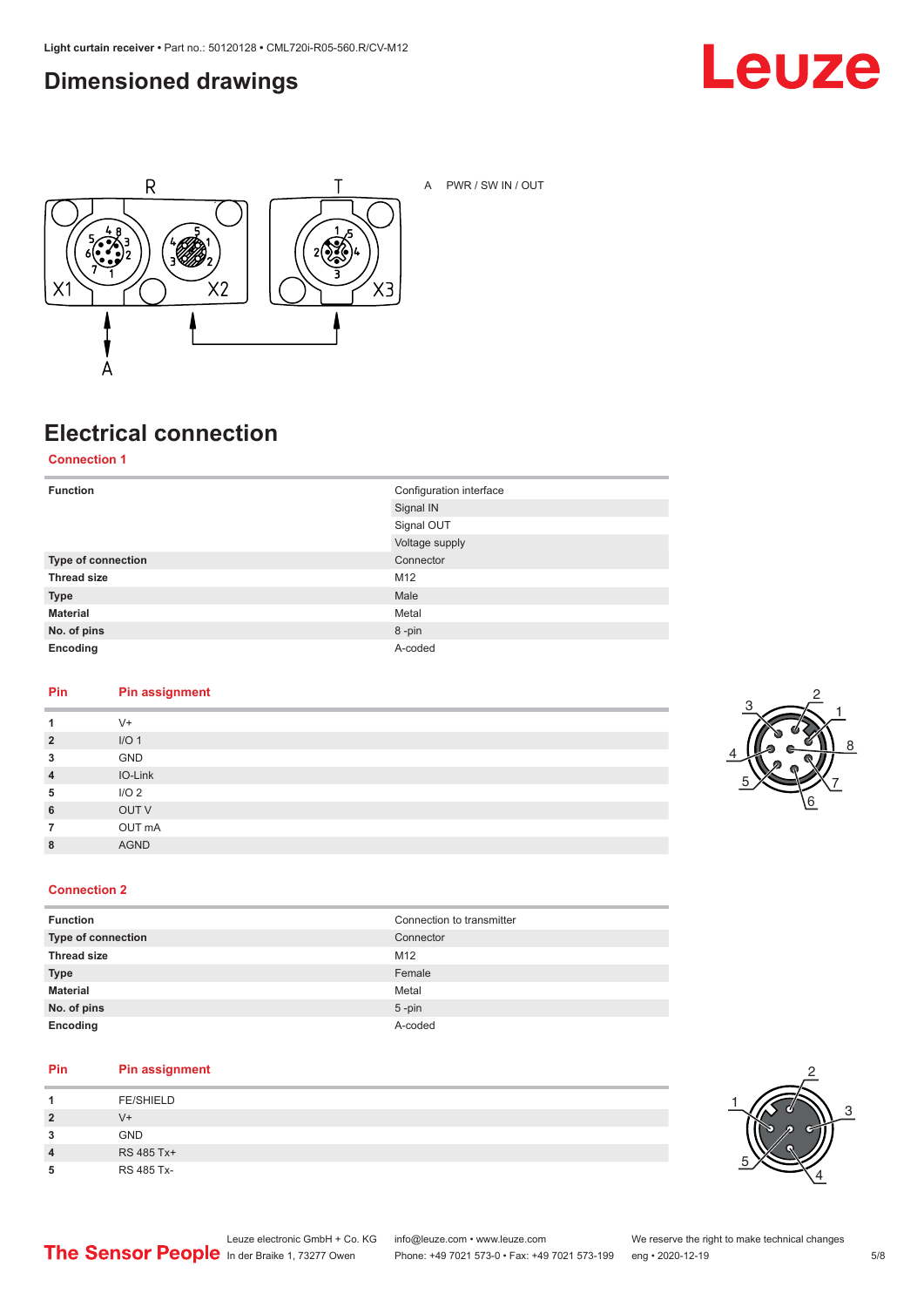### <span id="page-4-0"></span>**Dimensioned drawings**





A PWR / SW IN / OUT

# **Electrical connection**

**Connection 1**

| <b>Function</b>    | Configuration interface<br>Signal IN |
|--------------------|--------------------------------------|
|                    | Signal OUT                           |
|                    | Voltage supply                       |
| Type of connection | Connector                            |
| <b>Thread size</b> | M12                                  |
| <b>Type</b>        | Male                                 |
| <b>Material</b>    | Metal                                |
| No. of pins        | 8-pin                                |
| Encoding           | A-coded                              |

#### **Pin Pin assignment**

| 1              | $V +$            |
|----------------|------------------|
| $\overline{2}$ | I/O <sub>1</sub> |
| 3              | GND              |
| $\overline{4}$ | IO-Link          |
| 5              | I/O <sub>2</sub> |
| 6              | OUT V            |
| 7              | OUT mA           |
| 8              | <b>AGND</b>      |
|                |                  |



#### **Connection 2**

| <b>Function</b>    | Connection to transmitter |
|--------------------|---------------------------|
| Type of connection | Connector                 |
| <b>Thread size</b> | M12                       |
| <b>Type</b>        | Female                    |
| <b>Material</b>    | Metal                     |
| No. of pins        | $5$ -pin                  |
| Encoding           | A-coded                   |

#### **Pin Pin assignment**

| л              | <b>FE/SHIELD</b> |
|----------------|------------------|
| $\overline{2}$ | V+               |
| 3              | <b>GND</b>       |
| 4              | RS 485 Tx+       |
| 5              | RS 485 Tx-       |

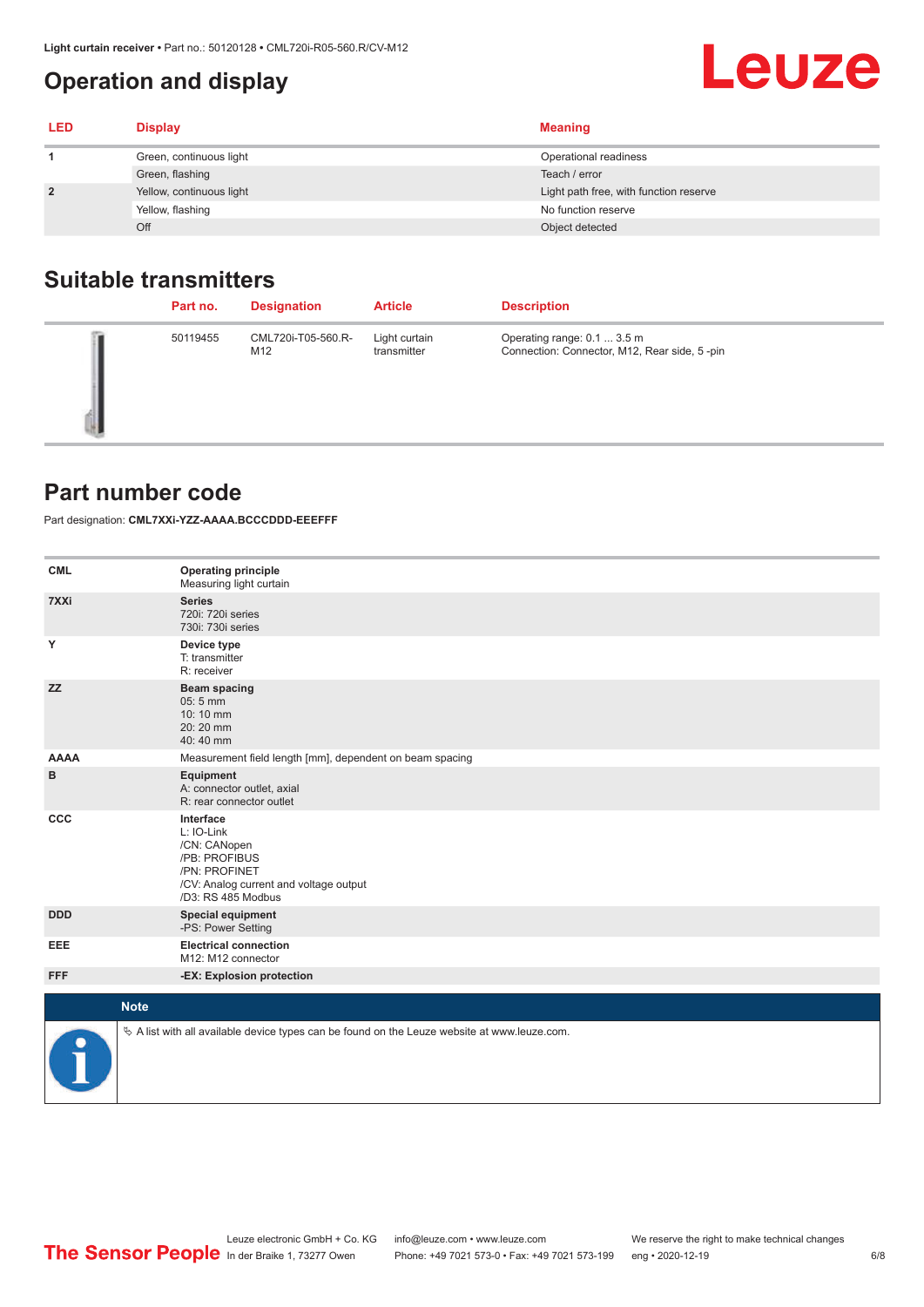### <span id="page-5-0"></span>**Operation and display**

| <b>LED</b>     | <b>Display</b>           | <b>Meaning</b>                         |
|----------------|--------------------------|----------------------------------------|
|                | Green, continuous light  | Operational readiness                  |
|                | Green, flashing          | Teach / error                          |
| $\overline{2}$ | Yellow, continuous light | Light path free, with function reserve |
|                | Yellow, flashing         | No function reserve                    |
|                | Off                      | Object detected                        |

### **Suitable transmitters**

| Part no. | <b>Designation</b>        | <b>Article</b>               | <b>Description</b>                                                          |
|----------|---------------------------|------------------------------|-----------------------------------------------------------------------------|
| 50119455 | CML720i-T05-560.R-<br>M12 | Light curtain<br>transmitter | Operating range: 0.1  3.5 m<br>Connection: Connector, M12, Rear side, 5-pin |

#### **Part number code**

Part designation: **CML7XXi-YZZ-AAAA.BCCCDDD-EEEFFF**

| <b>CML</b>           | <b>Operating principle</b><br>Measuring light curtain                                                                                     |
|----------------------|-------------------------------------------------------------------------------------------------------------------------------------------|
| 7XXi                 | <b>Series</b><br>720i: 720i series<br>730i: 730i series                                                                                   |
| Y                    | Device type<br>T: transmitter<br>R: receiver                                                                                              |
| <b>ZZ</b>            | <b>Beam spacing</b><br>05:5 mm<br>10:10 mm<br>20:20 mm<br>40:40 mm                                                                        |
| <b>AAAA</b>          | Measurement field length [mm], dependent on beam spacing                                                                                  |
| в                    | Equipment<br>A: connector outlet, axial<br>R: rear connector outlet                                                                       |
| CCC                  | Interface<br>L: IO-Link<br>/CN: CANopen<br>/PB: PROFIBUS<br>/PN: PROFINET<br>/CV: Analog current and voltage output<br>/D3: RS 485 Modbus |
| <b>DDD</b>           | <b>Special equipment</b><br>-PS: Power Setting                                                                                            |
| <b>EEE</b>           | <b>Electrical connection</b><br>M12: M12 connector                                                                                        |
| <b>FFF</b>           | -EX: Explosion protection                                                                                                                 |
| <b>Note</b>          |                                                                                                                                           |
|                      |                                                                                                                                           |
| $\ddot{\phantom{a}}$ | $\&$ A list with all available device types can be found on the Leuze website at www.leuze.com.                                           |

**Leuze**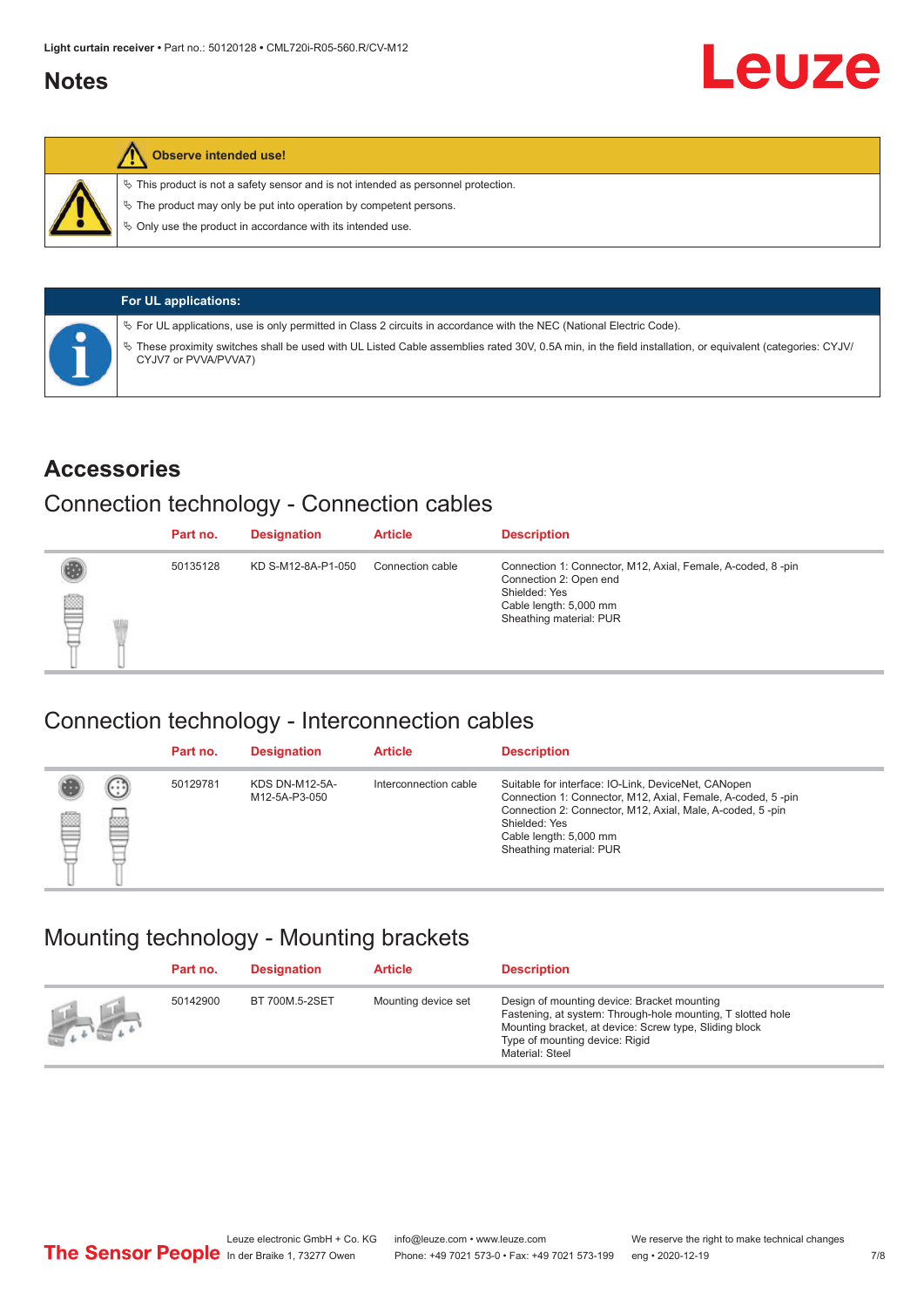#### <span id="page-6-0"></span>**Notes**



#### **Observe intended use!**

 $\%$  This product is not a safety sensor and is not intended as personnel protection.

 $\%$  The product may only be put into operation by competent persons.

 $\%$  Only use the product in accordance with its intended use.

| <b>For UL applications:</b>                                                                                                                                                       |
|-----------------------------------------------------------------------------------------------------------------------------------------------------------------------------------|
| $\%$ For UL applications, use is only permitted in Class 2 circuits in accordance with the NEC (National Electric Code).                                                          |
| V These proximity switches shall be used with UL Listed Cable assemblies rated 30V, 0.5A min, in the field installation, or equivalent (categories: CYJV/<br>CYJV7 or PVVA/PVVA7) |

#### **Accessories**

#### Connection technology - Connection cables

|   | Part no. | <b>Designation</b> | <b>Article</b>   | <b>Description</b>                                                                                                                                          |
|---|----------|--------------------|------------------|-------------------------------------------------------------------------------------------------------------------------------------------------------------|
| § | 50135128 | KD S-M12-8A-P1-050 | Connection cable | Connection 1: Connector, M12, Axial, Female, A-coded, 8-pin<br>Connection 2: Open end<br>Shielded: Yes<br>Cable length: 5,000 mm<br>Sheathing material: PUR |

#### Connection technology - Interconnection cables

|   |               | Part no. | <b>Designation</b>                     | <b>Article</b>        | <b>Description</b>                                                                                                                                                                                                                                    |
|---|---------------|----------|----------------------------------------|-----------------------|-------------------------------------------------------------------------------------------------------------------------------------------------------------------------------------------------------------------------------------------------------|
| ▤ | $\cdots$<br>Þ | 50129781 | <b>KDS DN-M12-5A-</b><br>M12-5A-P3-050 | Interconnection cable | Suitable for interface: IO-Link, DeviceNet, CANopen<br>Connection 1: Connector, M12, Axial, Female, A-coded, 5-pin<br>Connection 2: Connector, M12, Axial, Male, A-coded, 5-pin<br>Shielded: Yes<br>Cable length: 5,000 mm<br>Sheathing material: PUR |

#### Mounting technology - Mounting brackets

|               | Part no. | <b>Designation</b> | <b>Article</b>      | <b>Description</b>                                                                                                                                                                                                        |
|---------------|----------|--------------------|---------------------|---------------------------------------------------------------------------------------------------------------------------------------------------------------------------------------------------------------------------|
| $\frac{1}{2}$ | 50142900 | BT 700M.5-2SET     | Mounting device set | Design of mounting device: Bracket mounting<br>Fastening, at system: Through-hole mounting, T slotted hole<br>Mounting bracket, at device: Screw type, Sliding block<br>Type of mounting device: Rigid<br>Material: Steel |

Leuze